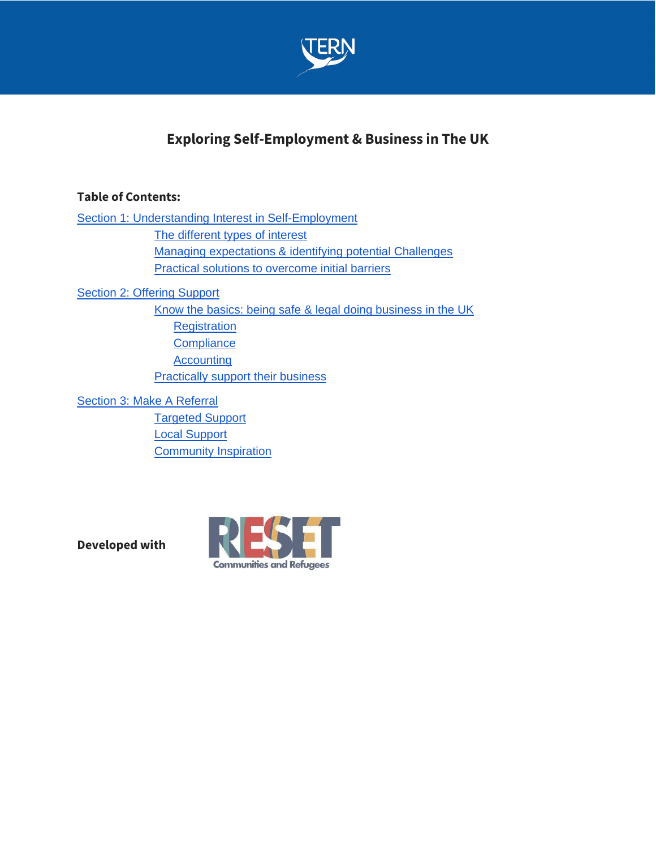

# **Exploring Self-Employment & Business in The UK**

## **Table of Contents:**

[Section 1: Understanding Interest in Self-Employment](#page-1-0) The different types of interest Managing expectations & identifying potential Challenges [Practical solutions to overcome initial barriers](#page-2-0) [Section 2: Offering Support](#page-3-0) [Know the basics: being safe & legal doing business in the UK](#page-3-1) **Registration Compliance** 

**Accounting Practically support their business** 

Section 3: Make A Referral Targeted Support Local Support **[Community Inspiration](#page-7-0)** 

**Developed with**

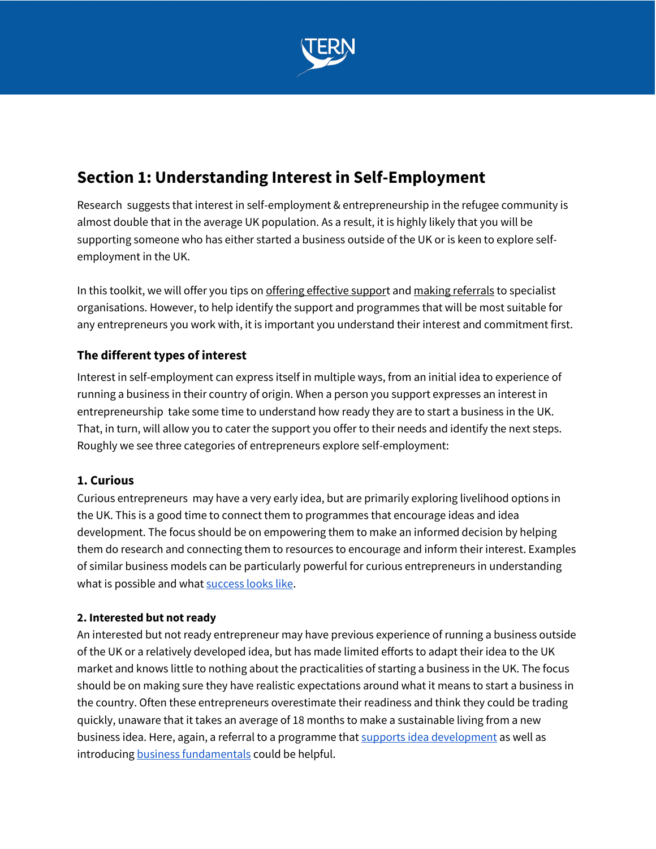

# <span id="page-1-0"></span>**Section 1: Understanding Interest in Self-Employment**

Research suggests that interest in self-employment & entrepreneurship in the refugee community is almost double that in the average UK population. As a result, it is highly likely that you will be supporting someone who has either started a business outside of the UK or is keen to explore selfemployment in the UK.

In this toolkit, we will offer you tips o[n offering effective support](#page-3-0) an[d making referrals](#page-6-0) to specialist organisations. However, to help identify the support and programmes that will be most suitable for any entrepreneurs you work with, it is important you understand their interest and commitment first.

# **The different types of interest**

Interest in self-employment can express itself in multiple ways, from an initial idea to experience of running a business in their country of origin. When a person you support expresses an interest in entrepreneurship take some time to understand how ready they are to start a business in the UK. That, in turn, will allow you to cater the support you offer to their needs and identify the next steps. Roughly we see three categories of entrepreneurs explore self-employment:

# **1. Curious**

Curious entrepreneurs may have a very early idea, but are primarily exploring livelihood options in the UK. This is a good time to connect them to programmes that encourage ideas and idea development. The focus should be on empowering them to make an informed decision by helping them do research and connecting them to resources to encourage and inform their interest. Examples of similar business models can be particularly powerful for curious entrepreneurs in understanding what is possible and wha[t success looks like.](#page-7-0)

### **2. Interested but not ready**

An interested but not ready entrepreneur may have previous experience of running a business outside of the UK or a relatively developed idea, but has made limited efforts to adapt their idea to the UK market and knows little to nothing about the practicalities of starting a business in the UK. The focus should be on making sure they have realistic expectations around what it means to start a business in the country. Often these entrepreneurs overestimate their readiness and think they could be trading quickly, unaware that it takes an average of 18 months to make a sustainable living from a new business idea. Here, again, a referral to a programme tha[t supports idea development](#page-7-0) as well as introducing **business** fundamentals could be helpful.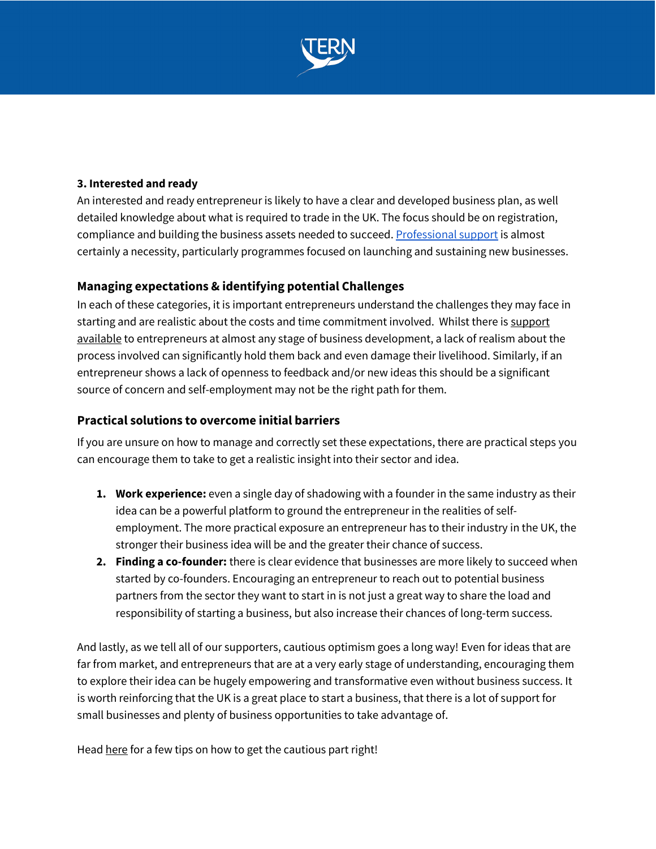

#### **3. Interested and ready**

An interested and ready entrepreneur is likely to have a clear and developed business plan, as well detailed knowledge about what is required to trade in the UK. The focus should be on registration, compliance and building the business assets needed to succeed. Professional support is almost certainly a necessity, particularly programmes focused on launching and sustaining new businesses.

### **Managing expectations & identifying potential Challenges**

In each of these categories, it is important entrepreneurs understand the challenges they may face in starting and are realistic about the costs and time commitment involved. Whilst there is support available to entrepreneurs at almost any stage of business development, a lack of realism about the process involved can significantly hold them back and even damage their livelihood. Similarly, if an entrepreneur shows a lack of openness to feedback and/or new ideas this should be a significant source of concern and self-employment may not be the right path for them.

### <span id="page-2-0"></span>**Practical solutions to overcome initial barriers**

If you are unsure on how to manage and correctly set these expectations, there are practical steps you can encourage them to take to get a realistic insight into their sector and idea.

- **1. Work experience:** even a single day of shadowing with a founder in the same industry as their idea can be a powerful platform to ground the entrepreneur in the realities of selfemployment. The more practical exposure an entrepreneur has to their industry in the UK, the stronger their business idea will be and the greater their chance of success.
- **2. Finding a co-founder:** there is clear evidence that businesses are more likely to succeed when started by co-founders. Encouraging an entrepreneur to reach out to potential business partners from the sector they want to start in is not just a great way to share the load and responsibility of starting a business, but also increase their chances of long-term success.

And lastly, as we tell all of our supporters, cautious optimism goes a long way! Even for ideas that are far from market, and entrepreneurs that are at a very early stage of understanding, encouraging them to explore their idea can be hugely empowering and transformative even without business success. It is worth reinforcing that the UK is a great place to start a business, that there is a lot of support for small businesses and plenty of business opportunities to take advantage of.

Hea[d here](#page-3-0) for a few tips on how to get the cautious part right!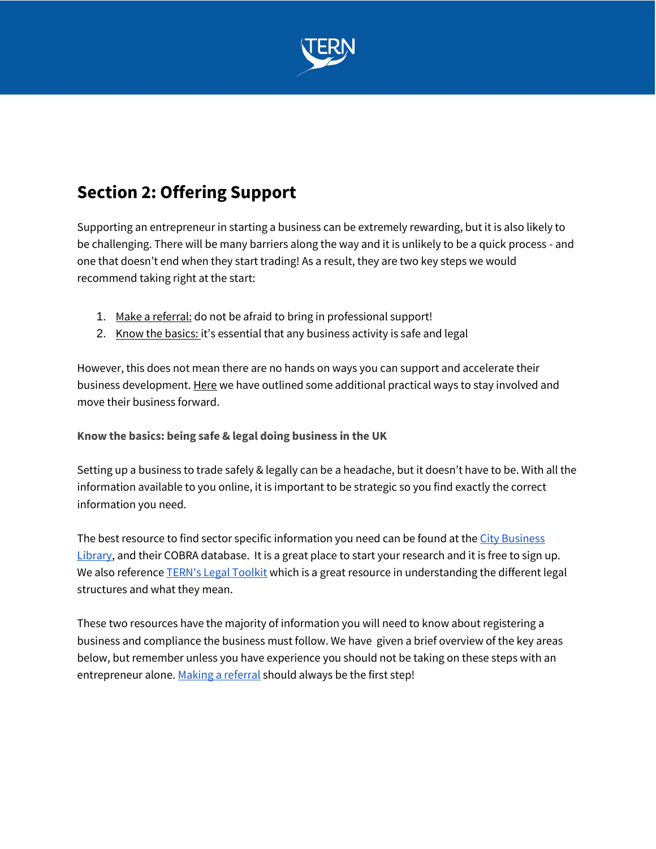

# <span id="page-3-0"></span>**Section 2: Offering Support**

<span id="page-3-1"></span>Supporting an entrepreneur in starting a business can be extremely rewarding, but it is also likely to be challenging. There will be many barriers along the way and it is unlikely to be a quick process - and one that doesn't end when they start trading! As a result, they are two key steps we would recommend taking right at the start:

- 1. Make a referral: do not be afraid to bring in professional support!
- 2. Know the basics: it's essential that any business activity is safe and legal

However, this does not mean there are no hands on ways you can support and accelerate their business development. Here we have outlined some additional practical ways to stay involved and move their business forward.

#### **Know the basics: being safe & legal doing business in the UK**

Setting up a business to trade safely & legally can be a headache, but it doesn't have to be. With all the information available to you online, it is important to be strategic so you find exactly the correct information you need.

The best resource to find sector specific information you need can be found at the City Business [Library,](https://www.cityoflondon.gov.uk/supporting-businesses/economic-research/city-business-library/city-business-library-membership) and their COBRA database. It is a great place to start your research and it is free to sign up. We also reference **TERN's Legal Toolkit** which is a great resource in understanding the different legal structures and what they mean.

These two resources have the majority of information you will need to know about registering a business and compliance the business must follow. We have given a brief overview of the key areas below, but remember unless you have experience you should not be taking on these steps with an entrepreneur alone. Making a referral should always be the first step!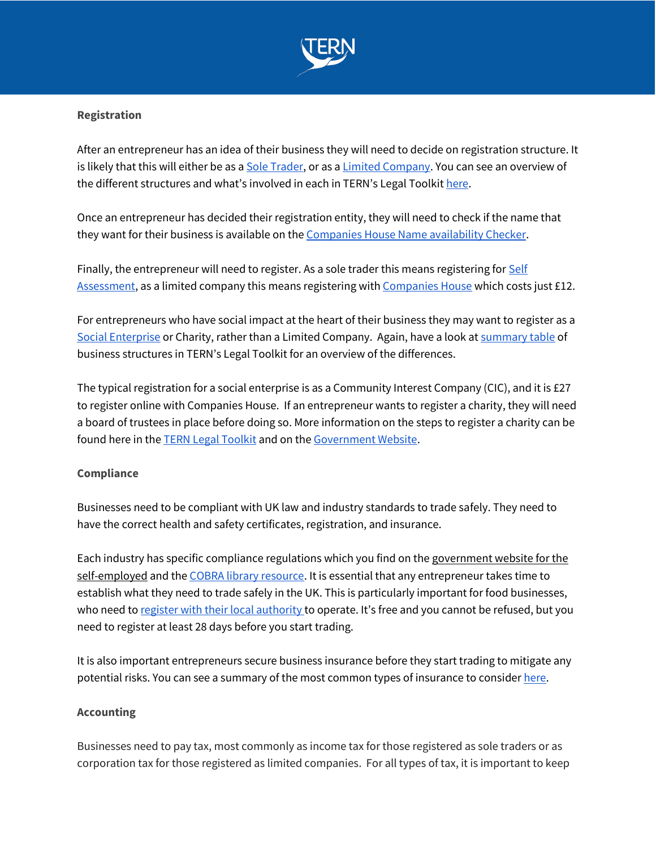

#### **Registration**

After an entrepreneur has an idea of their business they will need to decide on registration structure. It is likely that this will either be as a [Sole Trader,](https://www.gov.uk/set-up-sole-trader) or as a [Limited Company.](https://www.gov.uk/limited-company-formation) You can see an overview of the different structures and what's involved in each in TERN's Legal Toolkit [here.](https://www.notion.so/tern/TERN-Legal-Toolkit-f6f4f472bc9e4ebd83ab7126ae1c8b6b)

Once an entrepreneur has decided their registration entity, they will need to check if the name that they want for their business is available on the [Companies House Name availability Checker.](https://find-and-update.company-information.service.gov.uk/company-name-availability)

Finally, the entrepreneur will need to register. As a sole trader this means registering for **Self** [Assessment,](https://www.gov.uk/log-in-file-self-assessment-tax-return/register-if-youre-self-employed) as a limited company this means registering wit[h Companies House](https://www.gov.uk/limited-company-formation/register-your-company?step-by-step-nav=37e4c035-b25c-4289-b85c-c6d36d11a763) which costs just £12.

For entrepreneurs who have social impact at the heart of their business they may want to register as a [Social Enterprise](https://www.gov.uk/set-up-a-social-enterprise) or Charity, rather than a Limited Company. Again, have a look at [summary table](https://www.notion.so/tern/Overview-Table-of-Business-Structures-01d20f8ce78943118cb048d65df46df4) of business structures in TERN's Legal Toolkit for an overview of the differences.

The typical registration for a social enterprise is as a Community Interest Company (CIC), and it is £27 to register online with Companies House. If an entrepreneur wants to register a charity, they will need a board of trustees in place before doing so. More information on the steps to register a charity can be found here in th[e TERN Legal Toolkit](https://www.notion.so/tern/Charity-44146345e8a34107a54b4695a7f299fb) and on the [Government Website.](https://www.gov.uk/setting-up-charity)

#### **Compliance**

Businesses need to be compliant with UK law and industry standards to trade safely. They need to have the correct health and safety certificates, registration, and insurance.

Each industry has specific compliance regulations which you find on the government website for the [self-employed](https://www.gov.uk/browse/business) and the [COBRA library resource.](https://www.cityoflondon.gov.uk/supporting-businesses/economic-research/city-business-library/city-business-library-membership) It is essential that any entrepreneur takes time to establish what they need to trade safely in the UK. This is particularly important for food businesses, who need t[o register with their local authority](https://www.gov.uk/food-business-registration) to operate. It's free and you cannot be refused, but you need to register at least 28 days before you start trading.

It is also important entrepreneurs secure business insurance before they start trading to mitigate any potential risks. You can see a summary of the most common types of insurance to consider [here.](https://www.cityoflondon.gov.uk/supporting-businesses/economic-research/city-business-library/city-business-library-membership)

#### **Accounting**

Businesses need to pay tax, most commonly as income tax for those registered as sole traders or as corporation tax for those registered as limited companies. For all types of tax, it is important to keep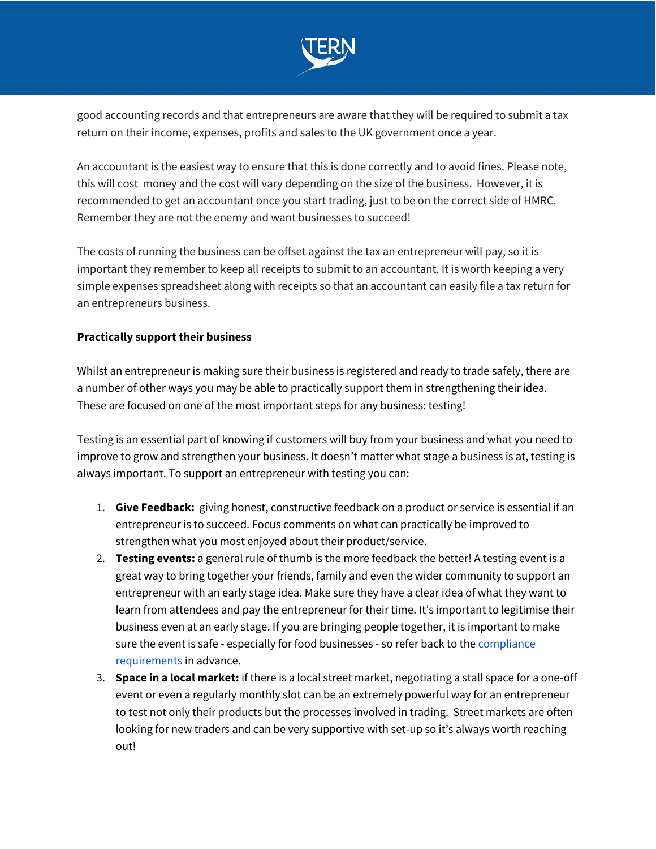

good accounting records and that entrepreneurs are aware that they will be required to submit a tax return on their income, expenses, profits and sales to the UK government once a year.

An accountant is the easiest way to ensure that this is done correctly and to avoid fines. Please note, this will cost money and the cost will vary depending on the size of the business. However, it is recommended to get an accountant once you start trading, just to be on the correct side of HMRC. Remember they are not the enemy and want businesses to succeed!

The costs of running the business can be offset against the tax an entrepreneur will pay, so it is important they remember to keep all receipts to submit to an accountant. It is worth keeping a very simple expenses spreadsheet along with receipts so that an accountant can easily file a tax return for an entrepreneurs business.

#### **Practically support their business**

Whilst an entrepreneur is making sure their business is registered and ready to trade safely, there are a number of other ways you may be able to practically support them in strengthening their idea. These are focused on one of the most important steps for any business: testing!

Testing is an essential part of knowing if customers will buy from your business and what you need to improve to grow and strengthen your business. It doesn't matter what stage a business is at, testing is always important. To support an entrepreneur with testing you can:

- 1. **Give Feedback:** giving honest, constructive feedback on a product or service is essential if an entrepreneur is to succeed. Focus comments on what can practically be improved to strengthen what you most enjoyed about their product/service.
- 2. **Testing events:** a general rule of thumb is the more feedback the better! A testing event is a great way to bring together your friends, family and even the wider community to support an entrepreneur with an early stage idea. Make sure they have a clear idea of what they want to learn from attendees and pay the entrepreneur for their time. It's important to legitimise their business even at an early stage. If you are bringing people together, it is important to make sure the event is safe - especially for food businesses - so refer back to th[e compliance](#page-3-1) [requirements](#page-3-1) in advance.
- 3. **Space in a local market:** if there is a local street market, negotiating a stall space for a one-off event or even a regularly monthly slot can be an extremely powerful way for an entrepreneur to test not only their products but the processes involved in trading. Street markets are often looking for new traders and can be very supportive with set-up so it's always worth reaching out!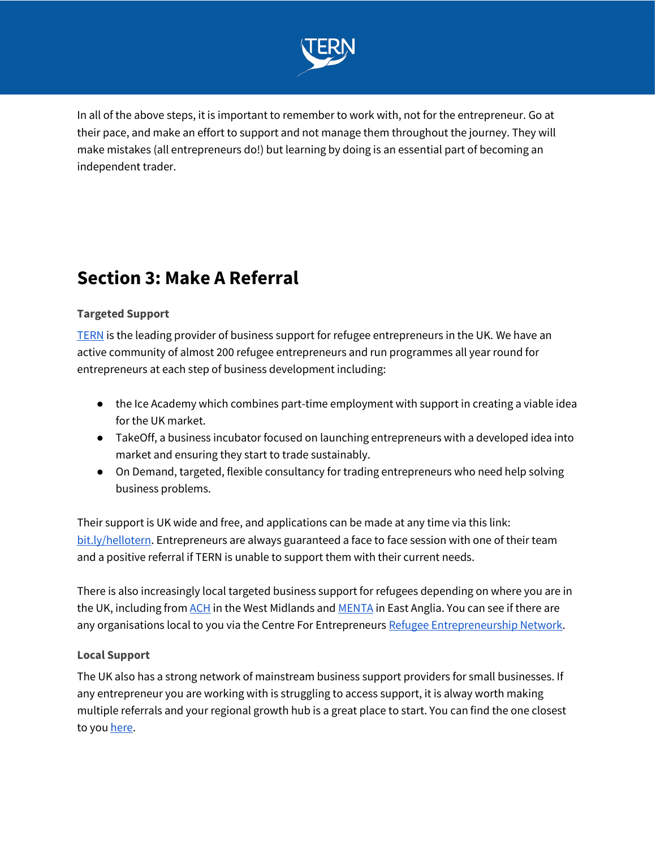

In all of the above steps, it is important to remember to work with, not for the entrepreneur. Go at their pace, and make an effort to support and not manage them throughout the journey. They will make mistakes (all entrepreneurs do!) but learning by doing is an essential part of becoming an independent trader.

# <span id="page-6-0"></span>**Section 3: Make A Referral**

#### **Targeted Support**

[TERN](http://wearetern.org/) is the leading provider of business support for refugee entrepreneurs in the UK. We have an active community of almost 200 refugee entrepreneurs and run programmes all year round for entrepreneurs at each step of business development including:

- the Ice Academy which combines part-time employment with support in creating a viable idea for the UK market.
- TakeOff, a business incubator focused on launching entrepreneurs with a developed idea into market and ensuring they start to trade sustainably.
- On Demand, targeted, flexible consultancy for trading entrepreneurs who need help solving business problems.

Their support is UK wide and free, and applications can be made at any time via this link: [bit.ly/hellotern.](http://bit.ly/hellotern) Entrepreneurs are always guaranteed a face to face session with one of their team and a positive referral if TERN is unable to support them with their current needs.

There is also increasingly local targeted business support for refugees depending on where you are in the UK, including fro[m ACH](https://ach.org.uk/) in the West Midlands an[d MENTA](https://www.menta.org.uk/) in East Anglia. You can see if there are any organisations local to you via the Centre For Entrepreneurs [Refugee Entrepreneurship Network.](https://centreforentrepreneurs.org/networks/refugee-entrepreneurship-network/)

#### **Local Support**

The UK also has a strong network of mainstream business support providers for small businesses. If any entrepreneur you are working with is struggling to access support, it is alway worth making multiple referrals and your regional growth hub is a great place to start. You can find the one closest to yo[u here.](https://www.lepnetwork.net/local-growth-hub-contacts/)